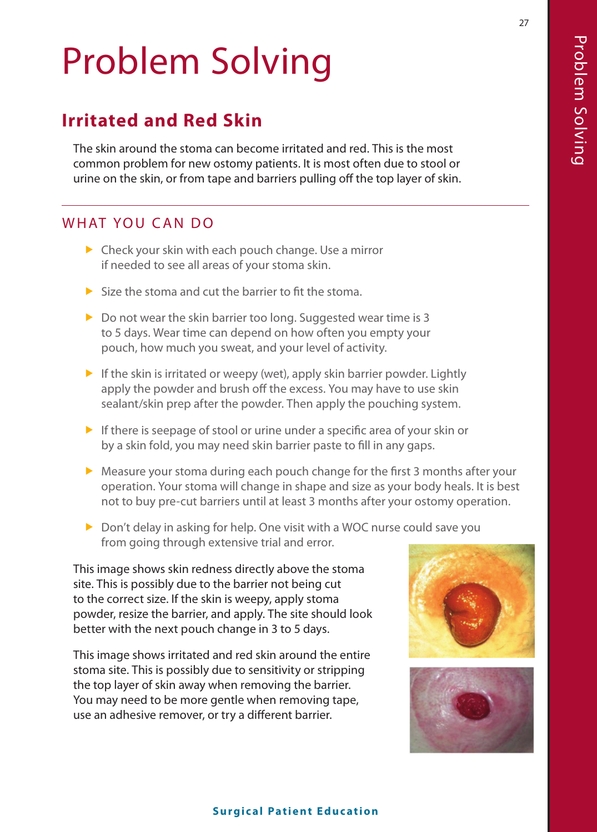# Problem Solving

# **Irritated and Red Skin**

The skin around the stoma can become irritated and red. This is the most common problem for new ostomy patients. It is most often due to stool or urine on the skin, or from tape and barriers pulling off the top layer of skin.

## WHAT YOU CAN DO

- $\triangleright$  Check your skin with each pouch change. Use a mirror if needed to see all areas of your stoma skin.
- $\blacktriangleright$  Size the stoma and cut the barrier to fit the stoma.
- $\triangleright$  Do not wear the skin barrier too long. Suggested wear time is 3 to 5 days. Wear time can depend on how often you empty your pouch, how much you sweat, and your level of activity.
- $\blacktriangleright$  If the skin is irritated or weepy (wet), apply skin barrier powder. Lightly apply the powder and brush off the excess. You may have to use skin sealant/skin prep after the powder. Then apply the pouching system.
- $\blacktriangleright$  If there is seepage of stool or urine under a specific area of your skin or by a skin fold, you may need skin barrier paste to fill in any gaps.
- $\blacktriangleright$  Measure your stoma during each pouch change for the first 3 months after your operation. Your stoma will change in shape and size as your body heals. It is best not to buy pre-cut barriers until at least 3 months after your ostomy operation.
- $\triangleright$  Don't delay in asking for help. One visit with a WOC nurse could save you from going through extensive trial and error.

This image shows skin redness directly above the stoma site. This is possibly due to the barrier not being cut to the correct size. If the skin is weepy, apply stoma powder, resize the barrier, and apply. The site should look better with the next pouch change in 3 to 5 days.

This image shows irritated and red skin around the entire stoma site. This is possibly due to sensitivity or stripping the top layer of skin away when removing the barrier. You may need to be more gentle when removing tape, use an adhesive remover, or try a different barrier.





#### **Surgical Patient Education**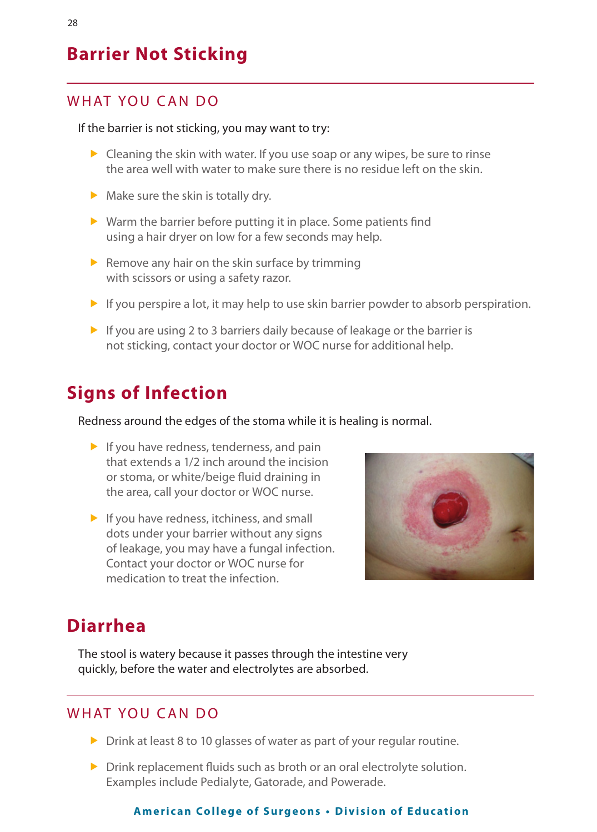## **Barrier Not Sticking**

## WHAT YOU CAN DO

#### If the barrier is not sticking, you may want to try:

- $\triangleright$  Cleaning the skin with water. If you use soap or any wipes, be sure to rinse the area well with water to make sure there is no residue left on the skin.
- $\blacktriangleright$  Make sure the skin is totally dry.
- $\triangleright$  Warm the barrier before putting it in place. Some patients find using a hair dryer on low for a few seconds may help.
- $\blacktriangleright$  Remove any hair on the skin surface by trimming with scissors or using a safety razor.
- $\blacktriangleright$  If you perspire a lot, it may help to use skin barrier powder to absorb perspiration.
- $\blacktriangleright$  If you are using 2 to 3 barriers daily because of leakage or the barrier is not sticking, contact your doctor or WOC nurse for additional help.

## **Signs of Infection**

Redness around the edges of the stoma while it is healing is normal.

- $\blacktriangleright$  If you have redness, tenderness, and pain that extends a 1/2 inch around the incision or stoma, or white/beige fluid draining in the area, call your doctor or WOC nurse.
- $\blacktriangleright$  If you have redness, itchiness, and small dots under your barrier without any signs of leakage, you may have a fungal infection. Contact your doctor or WOC nurse for medication to treat the infection.



## **Diarrhea**

The stool is watery because it passes through the intestine very quickly, before the water and electrolytes are absorbed.

#### WHAT YOU CAN DO

- $\triangleright$  Drink at least 8 to 10 glasses of water as part of your regular routine.
- $\triangleright$  Drink replacement fluids such as broth or an oral electrolyte solution. Examples include Pedialyte, Gatorade, and Powerade.

#### **American College of Surgeons . Division of Education**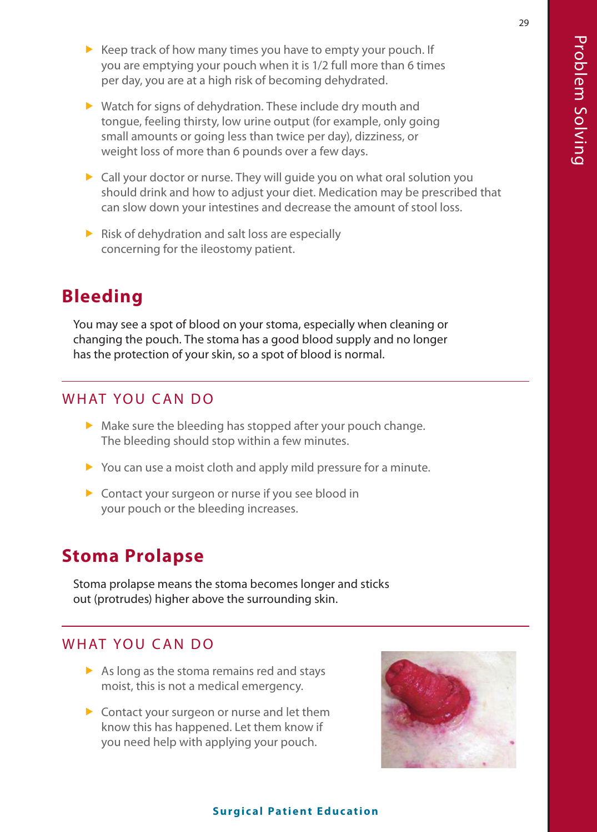- $\blacktriangleright$  Keep track of how many times you have to empty your pouch. If you are emptying your pouch when it is 1/2 full more than 6 times per day, you are at a high risk of becoming dehydrated.
- $\blacktriangleright$  Watch for signs of dehydration. These include dry mouth and tongue, feeling thirsty, low urine output (for example, only going small amounts or going less than twice per day), dizziness, or weight loss of more than 6 pounds over a few days.
- $\triangleright$  Call your doctor or nurse. They will guide you on what oral solution you should drink and how to adjust your diet. Medication may be prescribed that can slow down your intestines and decrease the amount of stool loss.
- $\triangleright$  Risk of dehydration and salt loss are especially concerning for the ileostomy patient.

## **Bleeding**

You may see a spot of blood on your stoma, especially when cleaning or changing the pouch. The stoma has a good blood supply and no longer has the protection of your skin, so a spot of blood is normal.

#### WHAT YOU CAN DO

- $\blacktriangleright$  Make sure the bleeding has stopped after your pouch change. The bleeding should stop within a few minutes.
- $\triangleright$  You can use a moist cloth and apply mild pressure for a minute.
- $\triangleright$  Contact your surgeon or nurse if you see blood in your pouch or the bleeding increases.

# **Stoma Prolapse**

Stoma prolapse means the stoma becomes longer and sticks out (protrudes) higher above the surrounding skin.

## WHAT YOU CAN DO

- $\triangleright$  As long as the stoma remains red and stays moist, this is not a medical emergency.
- $\triangleright$  Contact your surgeon or nurse and let them know this has happened. Let them know if you need help with applying your pouch.



#### **Surgical Patient Education**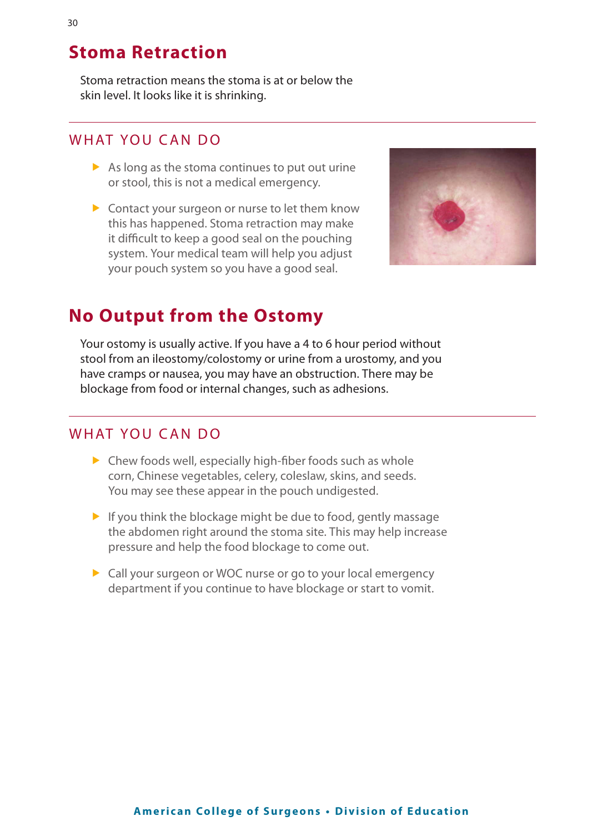## **Stoma Retraction**

Stoma retraction means the stoma is at or below the skin level. It looks like it is shrinking.

#### WHAT YOU CAN DO

- $\triangleright$  As long as the stoma continues to put out urine or stool, this is not a medical emergency.
- $\triangleright$  Contact your surgeon or nurse to let them know this has happened. Stoma retraction may make it difficult to keep a good seal on the pouching system. Your medical team will help you adjust your pouch system so you have a good seal.



## **No Output from the Ostomy**

Your ostomy is usually active. If you have a 4 to 6 hour period without stool from an ileostomy/colostomy or urine from a urostomy, and you have cramps or nausea, you may have an obstruction. There may be blockage from food or internal changes, such as adhesions.

#### WHAT YOU CAN DO

- $\triangleright$  Chew foods well, especially high-fiber foods such as whole corn, Chinese vegetables, celery, coleslaw, skins, and seeds. You may see these appear in the pouch undigested.
- $\blacktriangleright$  If you think the blockage might be due to food, gently massage the abdomen right around the stoma site. This may help increase pressure and help the food blockage to come out.
- **F** Call your surgeon or WOC nurse or go to your local emergency department if you continue to have blockage or start to vomit.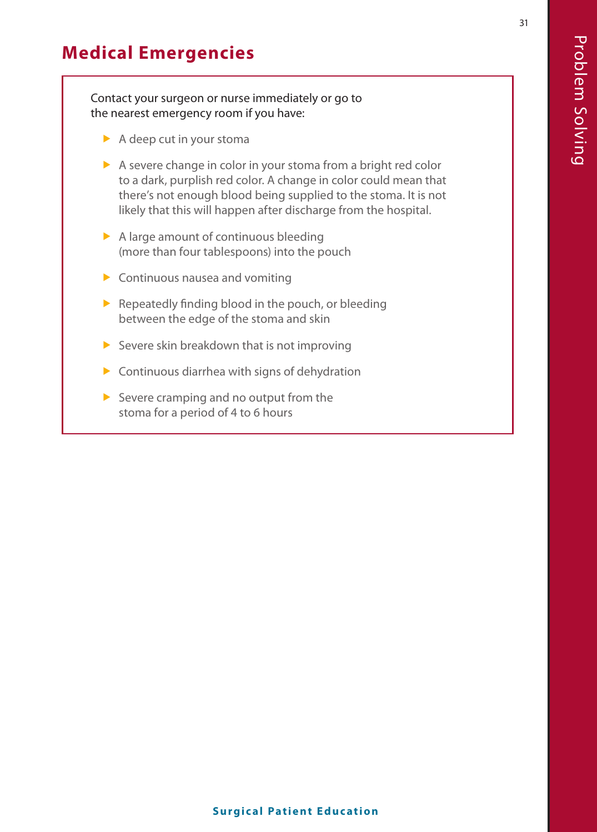# **Medical Emergencies**

Contact your surgeon or nurse immediately or go to the nearest emergency room if you have:

- $\blacktriangleright$  A deep cut in your stoma
- $\triangleright$  A severe change in color in your stoma from a bright red color to a dark, purplish red color. A change in color could mean that there's not enough blood being supplied to the stoma. It is not likely that this will happen after discharge from the hospital.
- $\triangleright$  A large amount of continuous bleeding (more than four tablespoons) into the pouch
- $\blacktriangleright$  Continuous nausea and vomiting
- $\blacktriangleright$  Repeatedly finding blood in the pouch, or bleeding between the edge of the stoma and skin
- $\triangleright$  Severe skin breakdown that is not improving
- $\triangleright$  Continuous diarrhea with signs of dehydration
- $\triangleright$  Severe cramping and no output from the stoma for a period of 4 to 6 hours